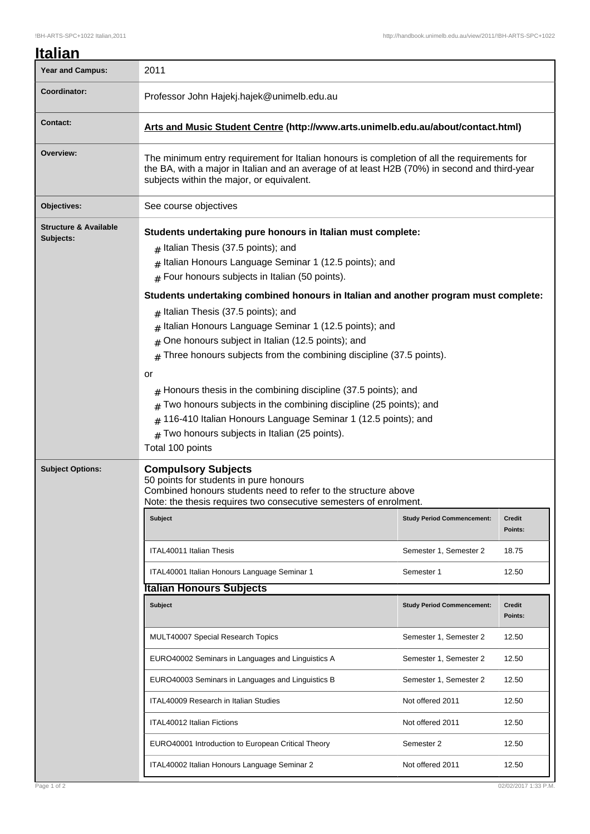| Italian                                       |                                                                                                                                                                                                                                                                                                                                                                                                                                                                                                                                                                   |                                   |                      |  |
|-----------------------------------------------|-------------------------------------------------------------------------------------------------------------------------------------------------------------------------------------------------------------------------------------------------------------------------------------------------------------------------------------------------------------------------------------------------------------------------------------------------------------------------------------------------------------------------------------------------------------------|-----------------------------------|----------------------|--|
| <b>Year and Campus:</b>                       | 2011                                                                                                                                                                                                                                                                                                                                                                                                                                                                                                                                                              |                                   |                      |  |
| Coordinator:                                  | Professor John Hajekj.hajek@unimelb.edu.au                                                                                                                                                                                                                                                                                                                                                                                                                                                                                                                        |                                   |                      |  |
| <b>Contact:</b>                               | Arts and Music Student Centre (http://www.arts.unimelb.edu.au/about/contact.html)                                                                                                                                                                                                                                                                                                                                                                                                                                                                                 |                                   |                      |  |
| Overview:                                     | The minimum entry requirement for Italian honours is completion of all the requirements for<br>the BA, with a major in Italian and an average of at least H2B (70%) in second and third-year<br>subjects within the major, or equivalent.                                                                                                                                                                                                                                                                                                                         |                                   |                      |  |
| Objectives:                                   | See course objectives                                                                                                                                                                                                                                                                                                                                                                                                                                                                                                                                             |                                   |                      |  |
| <b>Structure &amp; Available</b><br>Subjects: | Students undertaking pure honours in Italian must complete:<br>$#$ Italian Thesis (37.5 points); and<br>Italian Honours Language Seminar 1 (12.5 points); and<br>#<br>$#$ Four honours subjects in Italian (50 points).<br>Students undertaking combined honours in Italian and another program must complete:<br>$#$ Italian Thesis (37.5 points); and<br>Italian Honours Language Seminar 1 (12.5 points); and<br>#<br>One honours subject in Italian (12.5 points); and<br>#<br>Three honours subjects from the combining discipline (37.5 points).<br>#<br>or |                                   |                      |  |
|                                               | Honours thesis in the combining discipline (37.5 points); and<br>#<br>Two honours subjects in the combining discipline (25 points); and<br>#<br>116-410 Italian Honours Language Seminar 1 (12.5 points); and<br>Two honours subjects in Italian (25 points).<br>#<br>Total 100 points                                                                                                                                                                                                                                                                            |                                   |                      |  |
| <b>Subject Options:</b>                       | <b>Compulsory Subjects</b><br>50 points for students in pure honours<br>Combined honours students need to refer to the structure above<br>Note: the thesis requires two consecutive semesters of enrolment.                                                                                                                                                                                                                                                                                                                                                       |                                   |                      |  |
|                                               | <b>Subject</b>                                                                                                                                                                                                                                                                                                                                                                                                                                                                                                                                                    | <b>Study Period Commencement:</b> | Credit<br>Points:    |  |
|                                               | <b>ITAL40011 Italian Thesis</b>                                                                                                                                                                                                                                                                                                                                                                                                                                                                                                                                   | Semester 1, Semester 2            | 18.75                |  |
|                                               | ITAL40001 Italian Honours Language Seminar 1                                                                                                                                                                                                                                                                                                                                                                                                                                                                                                                      | Semester 1                        | 12.50                |  |
|                                               | <b>Italian Honours Subjects</b>                                                                                                                                                                                                                                                                                                                                                                                                                                                                                                                                   |                                   |                      |  |
|                                               | Subject                                                                                                                                                                                                                                                                                                                                                                                                                                                                                                                                                           | <b>Study Period Commencement:</b> | Credit<br>Points:    |  |
|                                               | MULT40007 Special Research Topics                                                                                                                                                                                                                                                                                                                                                                                                                                                                                                                                 | Semester 1, Semester 2            | 12.50                |  |
|                                               | EURO40002 Seminars in Languages and Linguistics A                                                                                                                                                                                                                                                                                                                                                                                                                                                                                                                 | Semester 1, Semester 2            | 12.50                |  |
|                                               | EURO40003 Seminars in Languages and Linguistics B                                                                                                                                                                                                                                                                                                                                                                                                                                                                                                                 | Semester 1, Semester 2            | 12.50                |  |
|                                               | ITAL40009 Research in Italian Studies                                                                                                                                                                                                                                                                                                                                                                                                                                                                                                                             | Not offered 2011                  | 12.50                |  |
|                                               | ITAL40012 Italian Fictions                                                                                                                                                                                                                                                                                                                                                                                                                                                                                                                                        | Not offered 2011                  | 12.50                |  |
|                                               | EURO40001 Introduction to European Critical Theory                                                                                                                                                                                                                                                                                                                                                                                                                                                                                                                | Semester 2                        | 12.50                |  |
|                                               | ITAL40002 Italian Honours Language Seminar 2                                                                                                                                                                                                                                                                                                                                                                                                                                                                                                                      | Not offered 2011                  | 12.50                |  |
| Page 1 of 2                                   |                                                                                                                                                                                                                                                                                                                                                                                                                                                                                                                                                                   |                                   | 02/02/2017 1:33 P.M. |  |